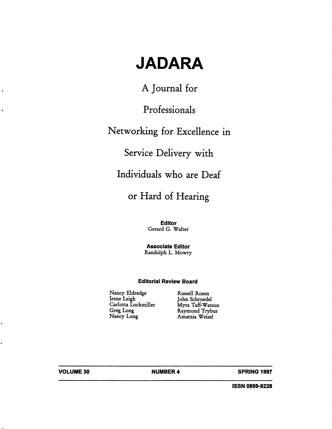# **JADARA**

A Journal for

Professionals

## Networking for Excellence in

Service Delivery with

Individuals who are Deaf

### or Hard of Hearing

**Editor**  Gerard G. Walter

**Associate Editor**  Randolph L. Mowry

#### **Editorial Review Board**

Nancy Eldredge Irene Leigh Carlotta Lockmiller Greg Long<br>Nancy Long

Russell Rosen John Schroedel Myra Taff-Watson Raymond Trybus Amatzia Weisel

**VOLUME30** 

ę

**NUMBER4 SPRING 1997** 

**ISSN 0899-9228**